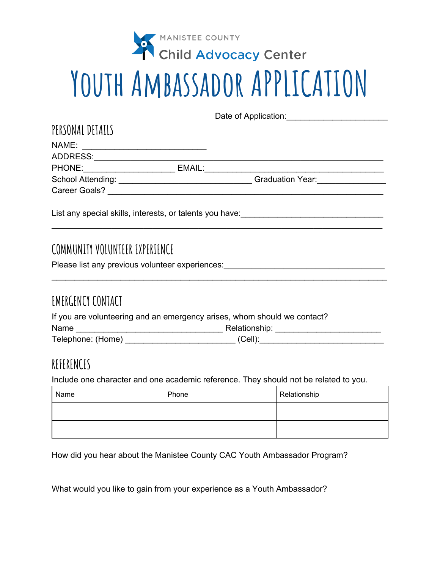

# **Youth Ambassador APPLICATION**

Date of Application:\_\_\_\_\_\_\_\_\_\_\_\_\_\_\_\_\_\_\_\_\_\_

| PERSONAL DETAILS                                                                                   |        |                         |  |
|----------------------------------------------------------------------------------------------------|--------|-------------------------|--|
| NAME:<br>the control of the control of the control of the control of the control of the control of |        |                         |  |
| ADDRESS:                                                                                           |        |                         |  |
| PHONE:                                                                                             | EMAIL: |                         |  |
| School Attending:                                                                                  |        | <b>Graduation Year:</b> |  |
| <b>Career Goals?</b>                                                                               |        |                         |  |
|                                                                                                    |        |                         |  |

\_\_\_\_\_\_\_\_\_\_\_\_\_\_\_\_\_\_\_\_\_\_\_\_\_\_\_\_\_\_\_\_\_\_\_\_\_\_\_\_\_\_\_\_\_\_\_\_\_\_\_\_\_\_\_\_\_\_\_\_\_\_\_\_\_\_\_\_\_\_\_\_

\_\_\_\_\_\_\_\_\_\_\_\_\_\_\_\_\_\_\_\_\_\_\_\_\_\_\_\_\_\_\_\_\_\_\_\_\_\_\_\_\_\_\_\_\_\_\_\_\_\_\_\_\_\_\_\_\_\_\_\_\_\_\_\_\_\_\_\_\_\_\_\_\_

List any special skills, interests, or talents you have:

## **COMMUNITY VOLUNTEER EXPERIENCE**

Please list any previous volunteer experiences:\_\_\_\_\_\_\_\_\_\_\_\_\_\_\_\_\_\_\_\_\_\_\_\_\_\_\_\_\_\_\_\_\_\_\_

## **EMERGENCY CONTACT**

| If you are volunteering and an emergency arises, whom should we contact? |               |  |  |  |
|--------------------------------------------------------------------------|---------------|--|--|--|
| Name                                                                     | Relationship: |  |  |  |
| Telephone: (Home)                                                        | $(Cell)$ :    |  |  |  |

#### **REFERENCES**

Include one character and one academic reference. They should not be related to you.

| Name | Phone | Relationship |
|------|-------|--------------|
|      |       |              |
|      |       |              |

How did you hear about the Manistee County CAC Youth Ambassador Program?

What would you like to gain from your experience as a Youth Ambassador?